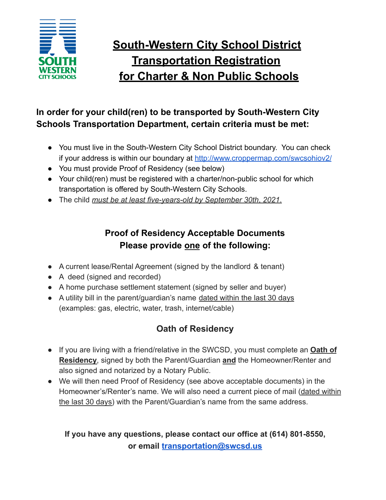

# **South-Western City School District Transportation Registration for Charter & Non Public Schools**

### **In order for your child(ren) to be transported by South-Western City Schools Transportation Department, certain criteria must be met:**

- You must live in the South-Western City School District boundary. You can check if your address is within our boundary at <http://www.croppermap.com/swcsohiov2/>
- You must provide Proof of Residency (see below)
- Your child(ren) must be registered with a charter/non-public school for which transportation is offered by South-Western City Schools.
- The child *must be at least five-years-old by September 30th*, *2021*.

### **Proof of Residency Acceptable Documents Please provide one of the following:**

- A current lease/Rental Agreement (signed by the landlord & tenant)
- A deed (signed and recorded)
- A home purchase settlement statement (signed by seller and buyer)
- A utility bill in the parent/guardian's name dated within the last 30 days (examples: gas, electric, water, trash, internet/cable)

## **Oath of Residency**

- If you are living with a friend/relative in the SWCSD, you must complete an **Oath of Residency**, signed by both the Parent/Guardian **and** the Homeowner/Renter and also signed and notarized by a Notary Public.
- We will then need Proof of Residency (see above acceptable documents) in the Homeowner's/Renter's name. We will also need a current piece of mail (dated within the last 30 days) with the Parent/Guardian's name from the same address.

### **If you have any questions, please contact our office at (614) 801-8550, or email [transportation@swcsd.us](mailto:transportation@swcsd.us)**